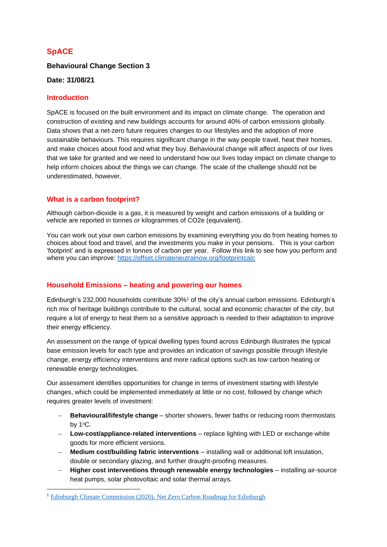# **SpACE**

# **Behavioural Change Section 3**

#### **Date: 31/08/21**

### **Introduction**

SpACE is focused on the built environment and its impact on climate change. The operation and construction of existing and new buildings accounts for around 40% of carbon emissions globally. Data shows that a net-zero future requires changes to our lifestyles and the adoption of more sustainable behaviours. This requires significant change in the way people travel, heat their homes, and make choices about food and what they buy. Behavioural change will affect aspects of our lives that we take for granted and we need to understand how our lives today impact on climate change to help inform choices about the things we can change. The scale of the challenge should not be underestimated, however.

# **What is a carbon footprint?**

Although carbon-dioxide is a gas, it is measured by weight and carbon emissions of a building or vehicle are reported in tonnes or kilogrammes of CO2e (equivalent).

You can work out your own carbon emissions by examining everything you do from heating homes to choices about food and travel, and the investments you make in your pensions. This is your carbon 'footprint' and is expressed in tonnes of carbon per year. Follow this link to see how you perform and where you can improve: <https://offset.climateneutralnow.org/footprintcalc>

# **Household Emissions – heating and powering our homes**

Edinburgh's 232,000 households contribute 30%<sup>1</sup> of the city's annual carbon emissions. Edinburgh's rich mix of heritage buildings contribute to the cultural, social and economic character of the city, but require a lot of energy to heat them so a sensitive approach is needed to their adaptation to improve their energy efficiency.

An assessment on the range of typical dwelling types found across Edinburgh illustrates the typical base emission levels for each type and provides an indication of savings possible through lifestyle change, energy efficiency interventions and more radical options such as low carbon heating or renewable energy technologies.

Our assessment identifies opportunities for change in terms of investment starting with lifestyle changes, which could be implemented immediately at little or no cost, followed by change which requires greater levels of investment:

- − **Behavioural/lifestyle change**  shorter showers, fewer baths or reducing room thermostats by  $1^{\circ}$ C.
- − **Low-cost/appliance-related interventions** replace lighting with LED or exchange white goods for more efficient versions.
- − **Medium cost/building fabric interventions** installing wall or additional loft insulation, double or secondary glazing, and further draught-proofing measures.
- − **Higher cost interventions through renewable energy technologies**  installing air-source heat pumps, solar photovoltaic and solar thermal arrays.

<sup>1</sup> [Edinburgh Climate Commission \(2020\), Net Zero Carbon Roadmap for Edinburgh](https://www.edinburghclimate.org.uk/sites/default/files/Edinburgh%20Carbon%20Roadmap.pdf)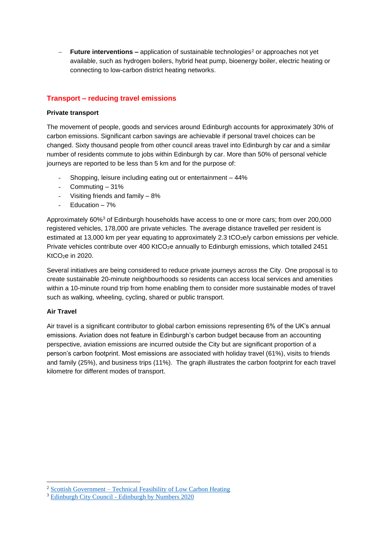**Future interventions –** application of sustainable technologies<sup>2</sup> or approaches not yet available, such as hydrogen boilers, hybrid heat pump, bioenergy boiler, electric heating or connecting to low-carbon district heating networks.

# **Transport – reducing travel emissions**

#### **Private transport**

The movement of people, goods and services around Edinburgh accounts for approximately 30% of carbon emissions. Significant carbon savings are achievable if personal travel choices can be changed. Sixty thousand people from other council areas travel into Edinburgh by car and a similar number of residents commute to jobs within Edinburgh by car. More than 50% of personal vehicle journeys are reported to be less than 5 km and for the purpose of:

- Shopping, leisure including eating out or entertainment 44%
- Commuting 31%
- Visiting friends and family  $-8\%$
- Education 7%

Approximately 60%<sup>3</sup> of Edinburgh households have access to one or more cars; from over 200,000 registered vehicles, 178,000 are private vehicles. The average distance travelled per resident is estimated at 13,000 km per year equating to approximately 2.3 tCO<sub>2</sub>e/y carbon emissions per vehicle. Private vehicles contribute over 400 KtCO<sub>2</sub>e annually to Edinburgh emissions, which totalled 2451 KtCO2e in 2020.

Several initiatives are being considered to reduce private journeys across the City. One proposal is to create sustainable 20-minute neighbourhoods so residents can access local services and amenities within a 10-minute round trip from home enabling them to consider more sustainable modes of travel such as walking, wheeling, cycling, shared or public transport.

#### **Air Travel**

Air travel is a significant contributor to global carbon emissions representing 6% of the UK's annual emissions. Aviation does not feature in Edinburgh's carbon budget because from an accounting perspective, aviation emissions are incurred outside the City but are significant proportion of a person's carbon footprint. Most emissions are associated with holiday travel (61%), visits to friends and family (25%), and business trips (11%). The graph illustrates the carbon footprint for each travel kilometre for different modes of transport.

<sup>&</sup>lt;sup>2</sup> Scottish Government – [Technical Feasibility of Low Carbon Heating](https://www.gov.scot/publications/technical-feasibility-low-carbon-heating-domestic-buildings-technical-feasibility-appendix-report-scottish-governments-directorate-energy-climate-change/documents/)

<sup>&</sup>lt;sup>3</sup> Edinburgh City Council - [Edinburgh by Numbers 2020](https://www.edinburgh.gov.uk/downloads/file/29314/edinburgh-by-numbers-2020)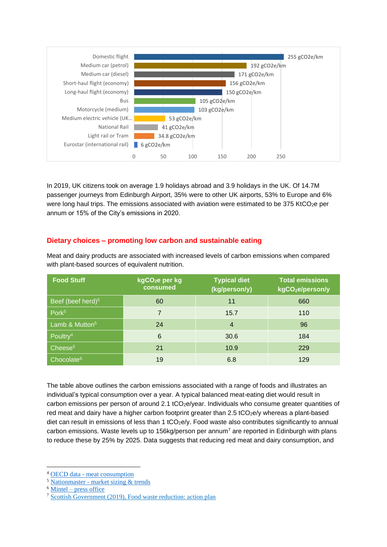

In 2019, UK citizens took on average 1.9 holidays abroad and 3.9 holidays in the UK. Of 14.7M passenger journeys from Edinburgh Airport, 35% were to other UK airports, 53% to Europe and 6% were long haul trips. The emissions associated with aviation were estimated to be 375 KtCO<sub>2</sub>e per annum or 15% of the City's emissions in 2020.

# **Dietary choices – promoting low carbon and sustainable eating**

Meat and dairy products are associated with increased levels of carbon emissions when compared with plant-based sources of equivalent nutrition.

| <b>Food Stuff</b>             | kgCO <sub>2</sub> e per kg<br>consumed | <b>Typical diet</b><br>(kg/person/y) | <b>Total emissions</b><br>kgCO <sub>2</sub> e/person/y |
|-------------------------------|----------------------------------------|--------------------------------------|--------------------------------------------------------|
| Beef (beef herd) <sup>5</sup> | 60                                     | 11                                   | 660                                                    |
| Pork <sup>5</sup>             | $\overline{7}$                         | 15.7                                 | 110                                                    |
| Lamb & Mutton <sup>5</sup>    | 24                                     | $\overline{4}$                       | 96                                                     |
| Poultry <sup>4</sup>          | $6\phantom{1}6$                        | 30.6                                 | 184                                                    |
| Cheese <sup>5</sup>           | 21                                     | 10.9                                 | 229                                                    |
| Chocolate <sup>6</sup>        | 19                                     | 6.8                                  | 129                                                    |

The table above outlines the carbon emissions associated with a range of foods and illustrates an individual's typical consumption over a year. A typical balanced meat-eating diet would result in carbon emissions per person of around 2.1 tCO<sub>2</sub>e/year. Individuals who consume greater quantities of red meat and dairy have a higher carbon footprint greater than  $2.5$  tCO<sub>2</sub>e/y whereas a plant-based diet can result in emissions of less than 1 tCO<sub>2</sub>e/y. Food waste also contributes significantly to annual carbon emissions. Waste levels up to 156kg/person per annum<sup>7</sup> are reported in Edinburgh with plans to reduce these by 25% by 2025. Data suggests that reducing red meat and dairy consumption, and

<sup>4</sup> OECD data - [meat consumption](https://data.oecd.org/agroutput/meat-consumption.htm)

<sup>5</sup> Nationmaster - [market sizing & trends](https://www.nationmaster.com/country-info/stats/Culture/Food-and-drink/Cheese-consumption-per-capita-per-year)

 $6$  Mintel – [press office](https://www.mintel.com/press-centre/food-and-drink/chocolate-eaters-full-of-beans-consumers-around-the-world-value-the-psychological-benefits-of-the-treat)

<sup>7</sup> [Scottish Government \(2019\), Food waste reduction: action plan](https://www.gov.scot/publications/food-waste-reduction-action-plan/documents/)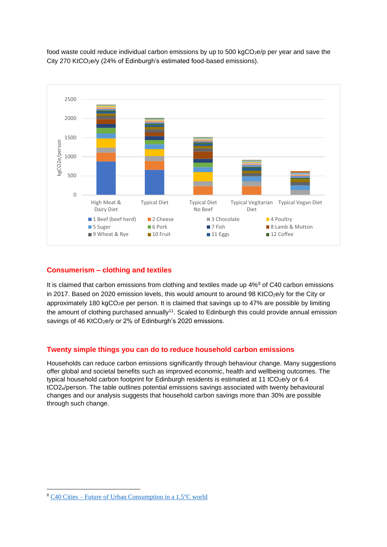

food waste could reduce individual carbon emissions by up to 500 kgCO<sub>2</sub>e/p per year and save the City 270 KtCO<sub>2</sub>e/y (24% of Edinburgh's estimated food-based emissions).

# **Consumerism – clothing and textiles**

It is claimed that carbon emissions from clothing and textiles made up 4%<sup>8</sup> of C40 carbon emissions in 2017. Based on 2020 emission levels, this would amount to around 98 KtCO $_2$ e/y for the City or approximately 180 kgCO<sub>2</sub>e per person. It is claimed that savings up to 47% are possible by limiting the amount of clothing purchased annually<sup>11</sup>. Scaled to Edinburgh this could provide annual emission savings of 46 KtCO<sub>2</sub>e/y or 2% of Edinburgh's 2020 emissions.

# **Twenty simple things you can do to reduce household carbon emissions**

Households can reduce carbon emissions significantly through behaviour change. Many suggestions offer global and societal benefits such as improved economic, health and wellbeing outcomes. The typical household carbon footprint for Edinburgh residents is estimated at 11 tCO<sub>2e</sub>/y or 6.4 tCO2e/person. The table outlines potential emissions savings associated with twenty behavioural changes and our analysis suggests that household carbon savings more than 30% are possible through such change.

 $8$  C40 Cities – [Future of Urban Consumption in a 1.5](https://www.arup.com/perspectives/publications/research/section/the-future-of-urban-consumption-in-a-1-5c-world) $\degree$ C world